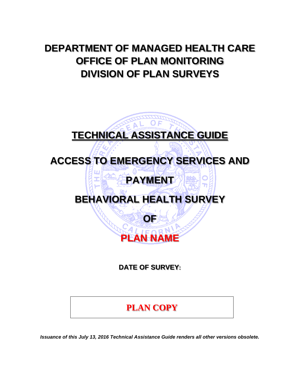# **DEPARTMENT OF MANAGED HEALTH CARE OFFICE OF PLAN MONITORING DIVISION OF PLAN SURVEYS**

# **TECHNICAL ASSISTANCE GUIDE ACCESS TO EMERGENCY SERVICES AND PAYMENT BEHAVIORAL HEALTH SURVEY OF PLAN NAME**

**DATE OF SURVEY:** 

# **PLAN COPY**

*Issuance of this July 13, 2016 Technical Assistance Guide renders all other versions obsolete.*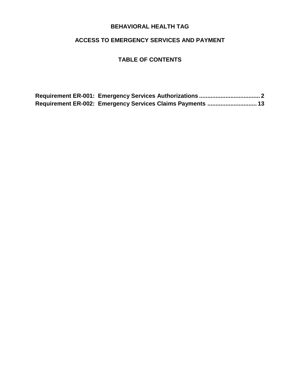#### **ACCESS TO EMERGENCY SERVICES AND PAYMENT**

#### **TABLE OF CONTENTS**

|  | Requirement ER-002: Emergency Services Claims Payments  13 |  |
|--|------------------------------------------------------------|--|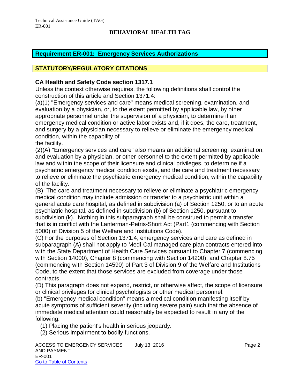#### <span id="page-2-0"></span>**Requirement ER-001: Emergency Services Authorizations**

#### **STATUTORY/REGULATORY CITATIONS**

#### **CA Health and Safety Code section 1317.1**

Unless the context otherwise requires, the following definitions shall control the construction of this article and Section 1371.4:

(a)(1) "Emergency services and care" means medical screening, examination, and evaluation by a physician, or, to the extent permitted by applicable law, by other appropriate personnel under the supervision of a physician, to determine if an emergency medical condition or active labor exists and, if it does, the care, treatment, and surgery by a physician necessary to relieve or eliminate the emergency medical condition, within the capability of

the facility.

(2)(A) "Emergency services and care" also means an additional screening, examination, and evaluation by a physician, or other personnel to the extent permitted by applicable law and within the scope of their licensure and clinical privileges, to determine if a psychiatric emergency medical condition exists, and the care and treatment necessary to relieve or eliminate the psychiatric emergency medical condition, within the capability of the facility.

(B) The care and treatment necessary to relieve or eliminate a psychiatric emergency medical condition may include admission or transfer to a psychiatric unit within a general acute care hospital, as defined in subdivision (a) of Section 1250, or to an acute psychiatric hospital, as defined in subdivision (b) of Section 1250, pursuant to subdivision (k). Nothing in this subparagraph shall be construed to permit a transfer that is in conflict with the Lanterman-Petris-Short Act (Part1 (commencing with Section 5000) of Division 5 of the Welfare and Institutions Code).

(C) For the purposes of Section 1371.4, emergency services and care as defined in subparagraph (A) shall not apply to Medi-Cal managed care plan contracts entered into with the State Department of Health Care Services pursuant to Chapter 7 (commencing with Section 14000), Chapter 8 (commencing with Section 14200), and Chapter 8.75 (commencing with Section 14590) of Part 3 of Division 9 of the Welfare and Institutions Code, to the extent that those services are excluded from coverage under those contracts

(D) This paragraph does not expand, restrict, or otherwise affect, the scope of licensure or clinical privileges for clinical psychologists or other medical personnel.

(b) "Emergency medical condition" means a medical condition manifesting itself by acute symptoms of sufficient severity (including severe pain) such that the absence of immediate medical attention could reasonably be expected to result in any of the following:

(1) Placing the patient's health in serious jeopardy.

(2) Serious impairment to bodily functions.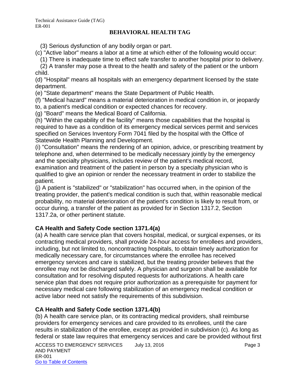(3) Serious dysfunction of any bodily organ or part.

(c) "Active labor" means a labor at a time at which either of the following would occur:

(1) There is inadequate time to effect safe transfer to another hospital prior to delivery.

 (2) A transfer may pose a threat to the health and safety of the patient or the unborn child.

(d) "Hospital" means all hospitals with an emergency department licensed by the state department.

(e) "State department" means the State Department of Public Health.

(f) "Medical hazard" means a material deterioration in medical condition in, or jeopardy

to, a patient's medical condition or expected chances for recovery.

(g) "Board" means the Medical Board of California.

(h) "Within the capability of the facility" means those capabilities that the hospital is required to have as a condition of its emergency medical services permit and services specified on Services Inventory Form 7041 filed by the hospital with the Office of Statewide Health Planning and Development.

(i) "Consultation" means the rendering of an opinion, advice, or prescribing treatment by telephone and, when determined to be medically necessary jointly by the emergency and the specialty physicians, includes review of the patient's medical record, examination and treatment of the patient in person by a specialty physician who is qualified to give an opinion or render the necessary treatment in order to stabilize the patient.

(j) A patient is "stabilized" or "stabilization" has occurred when, in the opinion of the treating provider, the patient's medical condition is such that, within reasonable medical probability, no material deterioration of the patient's condition is likely to result from, or occur during, a transfer of the patient as provided for in Section 1317.2, Section 1317.2a, or other pertinent statute.

#### **CA Health and Safety Code section 1371.4(a)**

(a) A health care service plan that covers hospital, medical, or surgical expenses, or its contracting medical providers, shall provide 24-hour access for enrollees and providers, including, but not limited to, noncontracting hospitals, to obtain timely authorization for medically necessary care, for circumstances where the enrollee has received emergency services and care is stabilized, but the treating provider believes that the enrollee may not be discharged safely. A physician and surgeon shall be available for consultation and for resolving disputed requests for authorizations. A health care service plan that does not require prior authorization as a prerequisite for payment for necessary medical care following stabilization of an emergency medical condition or active labor need not satisfy the requirements of this subdivision.

#### **CA Health and Safety Code section 1371.4(b)**

(b) A health care service plan, or its contracting medical providers, shall reimburse providers for emergency services and care provided to its enrollees, until the care results in stabilization of the enrollee, except as provided in subdivision (c). As long as federal or state law requires that emergency services and care be provided without first

ACCESS TO EMERGENCY SERVICES July 13, 2016 <br>
Language 3 AND PAYMENT ER-001 Go to Table of Contents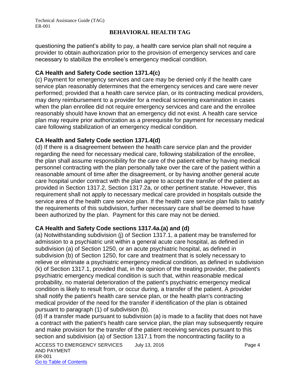questioning the patient's ability to pay, a health care service plan shall not require a provider to obtain authorization prior to the provision of emergency services and care necessary to stabilize the enrollee's emergency medical condition.

#### **CA Health and Safety Code section 1371.4(c)**

(c) Payment for emergency services and care may be denied only if the health care service plan reasonably determines that the emergency services and care were never performed; provided that a health care service plan, or its contracting medical providers, may deny reimbursement to a provider for a medical screening examination in cases when the plan enrollee did not require emergency services and care and the enrollee reasonably should have known that an emergency did not exist. A health care service plan may require prior authorization as a prerequisite for payment for necessary medical care following stabilization of an emergency medical condition.

#### **CA Health and Safety Code section 1371.4(d)**

(d) If there is a disagreement between the health care service plan and the provider regarding the need for necessary medical care, following stabilization of the enrollee, the plan shall assume responsibility for the care of the patient either by having medical personnel contracting with the plan personally take over the care of the patient within a reasonable amount of time after the disagreement, or by having another general acute care hospital under contract with the plan agree to accept the transfer of the patient as provided in Section 1317.2, Section 1317.2a, or other pertinent statute. However, this requirement shall not apply to necessary medical care provided in hospitals outside the service area of the health care service plan. If the health care service plan fails to satisfy the requirements of this subdivision, further necessary care shall be deemed to have been authorized by the plan. Payment for this care may not be denied.

#### **CA Health and Safety Code sections 1317.4a.(a) and (d)**

(a) Notwithstanding subdivision (j) of Section 1317.1, a patient may be transferred for admission to a psychiatric unit within a general acute care hospital, as defined in subdivision (a) of Section 1250, or an acute psychiatric hospital, as defined in subdivision (b) of Section 1250, for care and treatment that is solely necessary to relieve or eliminate a psychiatric emergency medical condition, as defined in subdivision (k) of Section 1317.1, provided that, in the opinion of the treating provider, the patient's psychiatric emergency medical condition is such that, within reasonable medical probability, no material deterioration of the patient's psychiatric emergency medical condition is likely to result from, or occur during, a transfer of the patient. A provider shall notify the patient's health care service plan, or the health plan's contracting medical provider of the need for the transfer if identification of the plan is obtained pursuant to paragraph (1) of subdivision (b).

(d) If a transfer made pursuant to subdivision (a) is made to a facility that does not have a contract with the patient's health care service plan, the plan may subsequently require and make provision for the transfer of the patient receiving services pursuant to this section and subdivision (a) of Section 1317.1 from the noncontracting facility to a

ACCESS TO EMERGENCY SERVICES July 13, 2016 <br>
Language 4 AND PAYMENT ER-001 Go to Table of Contents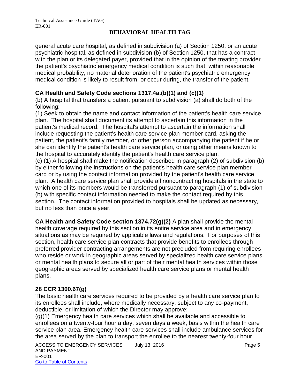general acute care hospital, as defined in subdivision (a) of Section 1250, or an acute psychiatric hospital, as defined in subdivision (b) of Section 1250, that has a contract with the plan or its delegated payer, provided that in the opinion of the treating provider the patient's psychiatric emergency medical condition is such that, within reasonable medical probability, no material deterioration of the patient's psychiatric emergency medical condition is likely to result from, or occur during, the transfer of the patient.

#### **CA Health and Safety Code sections 1317.4a.(b)(1) and (c)(1)**

(b) A hospital that transfers a patient pursuant to subdivision (a) shall do both of the following:

(1) Seek to obtain the name and contact information of the patient's health care service plan. The hospital shall document its attempt to ascertain this information in the patient's medical record. The hospital's attempt to ascertain the information shall include requesting the patient's health care service plan member card, asking the patient, the patient's family member, or other person accompanying the patient if he or she can identify the patient's health care service plan, or using other means known to the hospital to accurately identify the patient's health care service plan.

(c) (1) A hospital shall make the notification described in paragraph (2) of subdivision (b) by either following the instructions on the patient's health care service plan member card or by using the contact information provided by the patient's health care service plan. A health care service plan shall provide all noncontracting hospitals in the state to which one of its members would be transferred pursuant to paragraph (1) of subdivision (b) with specific contact information needed to make the contact required by this section. The contact information provided to hospitals shall be updated as necessary, but no less than once a year.

**CA Health and Safety Code section 1374.72(g)(2)** A plan shall provide the mental health coverage required by this section in its entire service area and in emergency situations as may be required by applicable laws and regulations. For purposes of this section, health care service plan contracts that provide benefits to enrollees through preferred provider contracting arrangements are not precluded from requiring enrollees who reside or work in geographic areas served by specialized health care service plans or mental health plans to secure all or part of their mental health services within those geographic areas served by specialized health care service plans or mental health plans.

#### **28 CCR 1300.67(g)**

The basic health care services required to be provided by a health care service plan to its enrollees shall include, where medically necessary, subject to any co-payment, deductible, or limitation of which the Director may approve:

(g)(1) Emergency health care services which shall be available and accessible to enrollees on a twenty-four hour a day, seven days a week, basis within the health care service plan area. Emergency health care services shall include ambulance services for the area served by the plan to transport the enrollee to the nearest twenty-four hour

ACCESS TO EMERGENCY SERVICES July 13, 2016 **Page 5** AND PAYMENT ER-001 Go to Table of Contents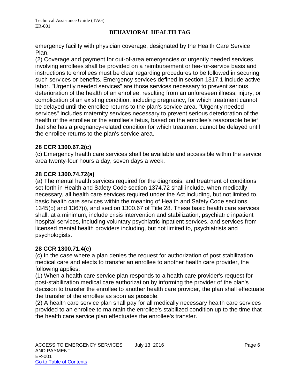emergency facility with physician coverage, designated by the Health Care Service Plan.

(2) Coverage and payment for out-of-area emergencies or urgently needed services involving enrollees shall be provided on a reimbursement or fee-for-service basis and instructions to enrollees must be clear regarding procedures to be followed in securing such services or benefits. Emergency services defined in section 1317.1 include active labor. "Urgently needed services" are those services necessary to prevent serious deterioration of the health of an enrollee, resulting from an unforeseen illness, injury, or complication of an existing condition, including pregnancy, for which treatment cannot be delayed until the enrollee returns to the plan's service area. "Urgently needed services" includes maternity services necessary to prevent serious deterioration of the health of the enrollee or the enrollee's fetus, based on the enrollee's reasonable belief that she has a pregnancy-related condition for which treatment cannot be delayed until the enrollee returns to the plan's service area.

#### **28 CCR 1300.67.2(c)**

(c) Emergency health care services shall be available and accessible within the service area twenty-four hours a day, seven days a week.

#### **28 CCR 1300.74.72(a)**

(a) The mental health services required for the diagnosis, and treatment of conditions set forth in Health and Safety Code section 1374.72 shall include, when medically necessary, all health care services required under the Act including, but not limited to, basic health care services within the meaning of Health and Safety Code sections 1345(b) and 1367(i), and section 1300.67 of Title 28. These basic health care services shall, at a minimum, include crisis intervention and stabilization, psychiatric inpatient hospital services, including voluntary psychiatric inpatient services, and services from licensed mental health providers including, but not limited to, psychiatrists and psychologists.

#### **28 CCR 1300.71.4(c)**

(c) In the case where a plan denies the request for authorization of post stabilization medical care and elects to transfer an enrollee to another health care provider, the following applies:

(1) When a health care service plan responds to a health care provider's request for post-stabilization medical care authorization by informing the provider of the plan's decision to transfer the enrollee to another health care provider, the plan shall effectuate the transfer of the enrollee as soon as possible,

(2) A health care service plan shall pay for all medically necessary health care services provided to an enrollee to maintain the enrollee's stabilized condition up to the time that the health care service plan effectuates the enrollee's transfer.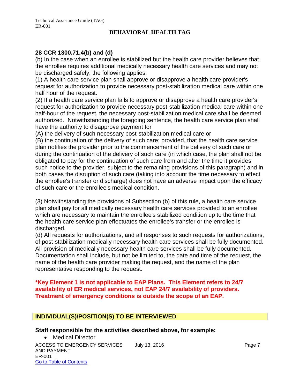#### **28 CCR 1300.71.4(b) and (d)**

(b) In the case when an enrollee is stabilized but the health care provider believes that the enrollee requires additional medically necessary health care services and may not be discharged safely, the following applies:

(1) A health care service plan shall approve or disapprove a health care provider's request for authorization to provide necessary post-stabilization medical care within one half hour of the request.

(2) If a health care service plan fails to approve or disapprove a health care provider's request for authorization to provide necessary post-stabilization medical care within one half-hour of the request, the necessary post-stabilization medical care shall be deemed authorized. Notwithstanding the foregoing sentence, the health care service plan shall have the authority to disapprove payment for

(A) the delivery of such necessary post-stabilization medical care or

(B) the continuation of the delivery of such care; provided, that the health care service plan notifies the provider prior to the commencement of the delivery of such care or during the continuation of the delivery of such care (in which case, the plan shall not be obligated to pay for the continuation of such care from and after the time it provides such notice to the provider, subject to the remaining provisions of this paragraph) and in both cases the disruption of such care (taking into account the time necessary to effect the enrollee's transfer or discharge) does not have an adverse impact upon the efficacy of such care or the enrollee's medical condition.

(3) Notwithstanding the provisions of Subsection (b) of this rule, a health care service plan shall pay for all medically necessary health care services provided to an enrollee which are necessary to maintain the enrollee's stabilized condition up to the time that the health care service plan effectuates the enrollee's transfer or the enrollee is discharged.

(d) All requests for authorizations, and all responses to such requests for authorizations, of post-stabilization medically necessary health care services shall be fully documented. All provision of medically necessary health care services shall be fully documented. Documentation shall include, but not be limited to, the date and time of the request, the name of the health care provider making the request, and the name of the plan representative responding to the request.

#### **\*Key Element 1 is not applicable to EAP Plans. This Element refers to 24/7 availability of ER medical services, not EAP 24/7 availability of providers. Treatment of emergency conditions is outside the scope of an EAP.**

#### **INDIVIDUAL(S)/POSITION(S) TO BE INTERVIEWED**

#### **Staff responsible for the activities described above, for example:**

ACCESS TO EMERGENCY SERVICES July 13, 2016 <br>
Page 7 AND PAYMENT ER-001 Go to Table of Contents • Medical Director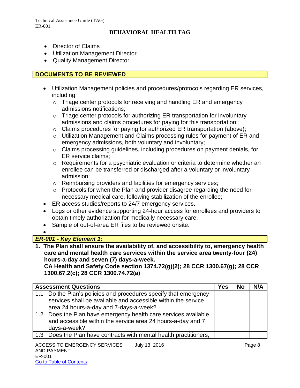- Director of Claims
- Utilization Management Director
- Quality Management Director

#### **DOCUMENTS TO BE REVIEWED**

- Utilization Management policies and procedures/protocols regarding ER services, including:
	- o Triage center protocols for receiving and handling ER and emergency admissions notifications;
	- o Triage center protocols for authorizing ER transportation for involuntary admissions and claims procedures for paying for this transportation;
	- o Claims procedures for paying for authorized ER transportation (above);
	- o Utilization Management and Claims processing rules for payment of ER and emergency admissions, both voluntary and involuntary;
	- o Claims processing guidelines, including procedures on payment denials, for ER service claims;
	- $\circ$  Requirements for a psychiatric evaluation or criteria to determine whether an enrollee can be transferred or discharged after a voluntary or involuntary admission;
	- o Reimbursing providers and facilities for emergency services;
	- o Protocols for when the Plan and provider disagree regarding the need for necessary medical care, following stabilization of the enrollee;
- ER access studies/reports to 24/7 emergency services.
- Logs or other evidence supporting 24-hour access for enrollees and providers to obtain timely authorization for medically necessary care.
- Sample of out-of-area ER files to be reviewed onsite.
- $\bullet$

#### *ER-001 - Key Element 1:*

**1. The Plan shall ensure the availability of, and accessibility to, emergency health care and mental health care services within the service area twenty-four (24) hours-a-day and seven (7) days-a-week.** 

**CA Health and Safety Code section 1374.72(g)(2); 28 CCR 1300.67(g); 28 CCR 1300.67.2(c); 28 CCR 1300.74.72(a)**

| <b>Assessment Questions</b>                                                                                                                                                 | Yes | No | N/A |
|-----------------------------------------------------------------------------------------------------------------------------------------------------------------------------|-----|----|-----|
| 1.1 Do the Plan's policies and procedures specify that emergency<br>services shall be available and accessible within the service<br>area 24 hours-a-day and 7-days-a-week? |     |    |     |
| 1.2 Does the Plan have emergency health care services available<br>and accessible within the service area 24 hours-a-day and 7<br>days-a-week?                              |     |    |     |
| 1.3 Does the Plan have contracts with mental health practitioners,                                                                                                          |     |    |     |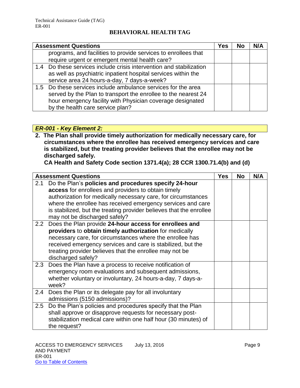| <b>Assessment Questions</b>                                         | Yes | <b>No</b> | N/A |
|---------------------------------------------------------------------|-----|-----------|-----|
| programs, and facilities to provide services to enrollees that      |     |           |     |
| require urgent or emergent mental health care?                      |     |           |     |
| 1.4 Do these services include crisis intervention and stabilization |     |           |     |
| as well as psychiatric inpatient hospital services within the       |     |           |     |
| service area 24 hours-a-day, 7 days-a-week?                         |     |           |     |
| 1.5 Do these services include ambulance services for the area       |     |           |     |
| served by the Plan to transport the enrollee to the nearest 24      |     |           |     |
| hour emergency facility with Physician coverage designated          |     |           |     |
| by the health care service plan?                                    |     |           |     |

#### *ER-001 - Key Element 2:*

**2. The Plan shall provide timely authorization for medically necessary care, for circumstances where the enrollee has received emergency services and care is stabilized, but the treating provider believes that the enrollee may not be discharged safely.** 

**CA Health and Safety Code section 1371.4(a); 28 CCR 1300.71.4(b) and (d)**

|     | <b>Assessment Questions</b>                                                                                                                                                                                                                                                                                                                          | <b>Yes</b> | <b>No</b> | N/A |
|-----|------------------------------------------------------------------------------------------------------------------------------------------------------------------------------------------------------------------------------------------------------------------------------------------------------------------------------------------------------|------------|-----------|-----|
| 2.1 | Do the Plan's policies and procedures specify 24-hour<br>access for enrollees and providers to obtain timely<br>authorization for medically necessary care, for circumstances<br>where the enrollee has received emergency services and care<br>is stabilized, but the treating provider believes that the enrollee<br>may not be discharged safely? |            |           |     |
|     | 2.2 Does the Plan provide 24-hour access for enrollees and<br>providers to obtain timely authorization for medically<br>necessary care, for circumstances where the enrollee has<br>received emergency services and care is stabilized, but the<br>treating provider believes that the enrollee may not be<br>discharged safely?                     |            |           |     |
|     | 2.3 Does the Plan have a process to receive notification of<br>emergency room evaluations and subsequent admissions,<br>whether voluntary or involuntary, 24 hours-a-day, 7 days-a-<br>week?                                                                                                                                                         |            |           |     |
| 2.4 | Does the Plan or its delegate pay for all involuntary<br>admissions (5150 admissions)?                                                                                                                                                                                                                                                               |            |           |     |
| 2.5 | Do the Plan's policies and procedures specify that the Plan<br>shall approve or disapprove requests for necessary post-<br>stabilization medical care within one half hour (30 minutes) of<br>the request?                                                                                                                                           |            |           |     |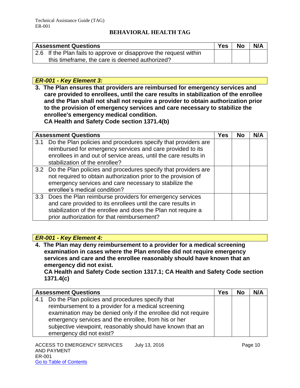| <b>Assessment Questions</b>                                       | Yes | <b>No</b> | N/A |
|-------------------------------------------------------------------|-----|-----------|-----|
| 2.6 If the Plan fails to approve or disapprove the request within |     |           |     |
| this timeframe, the care is deemed authorized?                    |     |           |     |

#### *ER-001 - Key Element 3:*

**3. The Plan ensures that providers are reimbursed for emergency services and care provided to enrollees, until the care results in stabilization of the enrollee and the Plan shall not shall not require a provider to obtain authorization prior to the provision of emergency services and care necessary to stabilize the enrollee's emergency medical condition. CA Health and Safety Code section 1371.4(b)**

|     | <b>Assessment Questions</b>                                                                                                                                                                                                                  | Yes | <b>No</b> | N/A |
|-----|----------------------------------------------------------------------------------------------------------------------------------------------------------------------------------------------------------------------------------------------|-----|-----------|-----|
| 3.1 | Do the Plan policies and procedures specify that providers are<br>reimbursed for emergency services and care provided to its<br>enrollees in and out of service areas, until the care results in<br>stabilization of the enrollee?           |     |           |     |
|     | 3.2 Do the Plan policies and procedures specify that providers are<br>not required to obtain authorization prior to the provision of<br>emergency services and care necessary to stabilize the<br>enrollee's medical condition?              |     |           |     |
|     | 3.3 Does the Plan reimburse providers for emergency services<br>and care provided to its enrollees until the care results in<br>stabilization of the enrollee and does the Plan not require a<br>prior authorization for that reimbursement? |     |           |     |

#### *ER-001 - Key Element 4:*

**4. The Plan may deny reimbursement to a provider for a medical screening examination in cases where the Plan enrollee did not require emergency services and care and the enrollee reasonably should have known that an emergency did not exist.** 

**CA Health and Safety Code section 1317.1; CA Health and Safety Code section 1371.4(c)**

|     | <b>Assessment Questions</b>                                    | Yes | <b>No</b> | N/A |
|-----|----------------------------------------------------------------|-----|-----------|-----|
| 4.1 | Do the Plan policies and procedures specify that               |     |           |     |
|     | reimbursement to a provider for a medical screening            |     |           |     |
|     | examination may be denied only if the enrollee did not require |     |           |     |
|     | emergency services and the enrollee, from his or her           |     |           |     |
|     | subjective viewpoint, reasonably should have known that an     |     |           |     |
|     | emergency did not exist?                                       |     |           |     |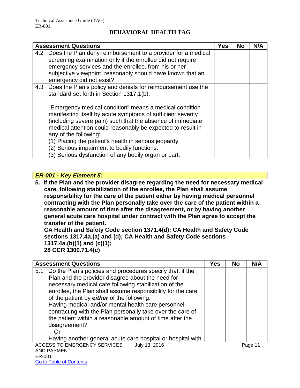| <b>Assessment Questions</b>                                                                                                                                                                                                                                                                                                                                                                                                                                                                                                                                  | <b>Yes</b> | <b>No</b> | N/A |
|--------------------------------------------------------------------------------------------------------------------------------------------------------------------------------------------------------------------------------------------------------------------------------------------------------------------------------------------------------------------------------------------------------------------------------------------------------------------------------------------------------------------------------------------------------------|------------|-----------|-----|
| 4.2 Does the Plan deny reimbursement to a provider for a medical<br>screening examination only if the enrollee did not require<br>emergency services and the enrollee, from his or her<br>subjective viewpoint, reasonably should have known that an<br>emergency did not exist?                                                                                                                                                                                                                                                                             |            |           |     |
| 4.3 Does the Plan's policy and denials for reimbursement use the<br>standard set forth in Section 1317.1(b):<br>"Emergency medical condition" means a medical condition<br>manifesting itself by acute symptoms of sufficient severity<br>(including severe pain) such that the absence of immediate<br>medical attention could reasonably be expected to result in<br>any of the following:<br>(1) Placing the patient's health in serious jeopardy.<br>(2) Serious impairment to bodily functions.<br>(3) Serious dysfunction of any bodily organ or part. |            |           |     |

#### *ER-001 - Key Element 5:*

**5. If the Plan and the provider disagree regarding the need for necessary medical care, following stabilization of the enrollee, the Plan shall assume responsibility for the care of the patient either by having medical personnel contracting with the Plan personally take over the care of the patient within a reasonable amount of time after the disagreement, or by having another general acute care hospital under contract with the Plan agree to accept the transfer of the patient.** 

**CA Health and Safety Code section 1371.4(d); CA Health and Safety Code sections 1317.4a.(a) and (d); CA Health and Safety Code sections 1317.4a.(b)(1) and (c)(1); 28 CCR 1300.71.4(c)**

| Do the Plan's policies and procedures specify that, if the<br>5.1                                                                                                                                                                                                                                                                                                                                                                                                                                   |  |         |
|-----------------------------------------------------------------------------------------------------------------------------------------------------------------------------------------------------------------------------------------------------------------------------------------------------------------------------------------------------------------------------------------------------------------------------------------------------------------------------------------------------|--|---------|
| Plan and the provider disagree about the need for<br>necessary medical care following stabilization of the<br>enrollee, the Plan shall assume responsibility for the care<br>of the patient by either of the following:<br>Having medical and/or mental health care personnel<br>contracting with the Plan personally take over the care of<br>the patient within a reasonable amount of time after the<br>disagreement?<br>-- Or --<br>Having another general acute care hospital or hospital with |  |         |
| <b>ACCESS TO EMERGENCY SERVICES</b><br>July 13, 2016<br><b>AND PAYMENT</b><br>ED 001                                                                                                                                                                                                                                                                                                                                                                                                                |  | Page 11 |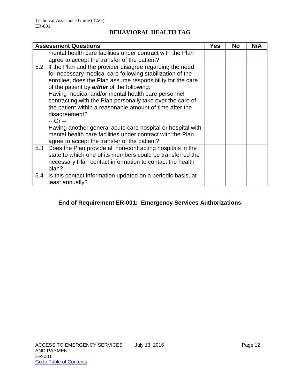|     | <b>Assessment Questions</b>                                                                                                                                                                                                                                                                                                                                                                                                                                                                                       | Yes | <b>No</b> | N/A |
|-----|-------------------------------------------------------------------------------------------------------------------------------------------------------------------------------------------------------------------------------------------------------------------------------------------------------------------------------------------------------------------------------------------------------------------------------------------------------------------------------------------------------------------|-----|-----------|-----|
|     | mental health care facilities under contract with the Plan                                                                                                                                                                                                                                                                                                                                                                                                                                                        |     |           |     |
|     | agree to accept the transfer of the patient?                                                                                                                                                                                                                                                                                                                                                                                                                                                                      |     |           |     |
|     | 5.2 If the Plan and the provider disagree regarding the need<br>for necessary medical care following stabilization of the<br>enrollee, does the Plan assume responsibility for the care<br>of the patient by either of the following:<br>Having medical and/or mental health care personnel<br>contracting with the Plan personally take over the care of<br>the patient within a reasonable amount of time after the<br>disagreement?<br>-- Or --<br>Having another general acute care hospital or hospital with |     |           |     |
|     | mental health care facilities under contract with the Plan<br>agree to accept the transfer of the patient?                                                                                                                                                                                                                                                                                                                                                                                                        |     |           |     |
| 5.3 | Does the Plan provide all non-contracting hospitals in the<br>state to which one of its members could be transferred the<br>necessary Plan contact information to contact the health<br>plan?                                                                                                                                                                                                                                                                                                                     |     |           |     |
| 5.4 | Is this contact information updated on a periodic basis, at<br>least annually?                                                                                                                                                                                                                                                                                                                                                                                                                                    |     |           |     |

#### **End of Requirement ER-001: Emergency Services Authorizations**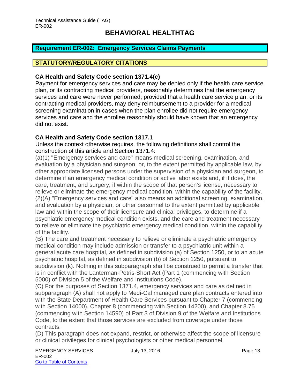#### <span id="page-13-0"></span>**Requirement ER-002: Emergency Services Claims Payments**

#### **STATUTORY/REGULATORY CITATIONS**

#### **CA Health and Safety Code section 1371.4(c)**

Payment for emergency services and care may be denied only if the health care service plan, or its contracting medical providers, reasonably determines that the emergency services and care were never performed; provided that a health care service plan, or its contracting medical providers, may deny reimbursement to a provider for a medical screening examination in cases when the plan enrollee did not require emergency services and care and the enrollee reasonably should have known that an emergency did not exist.

#### **CA Health and Safety Code section 1317.1**

Unless the context otherwise requires, the following definitions shall control the construction of this article and Section 1371.4:

(a)(1) "Emergency services and care" means medical screening, examination, and evaluation by a physician and surgeon, or, to the extent permitted by applicable law, by other appropriate licensed persons under the supervision of a physician and surgeon, to determine if an emergency medical condition or active labor exists and, if it does, the care, treatment, and surgery, if within the scope of that person's license, necessary to relieve or eliminate the emergency medical condition, within the capability of the facility. (2)(A) "Emergency services and care" also means an additional screening, examination, and evaluation by a physician, or other personnel to the extent permitted by applicable law and within the scope of their licensure and clinical privileges, to determine if a psychiatric emergency medical condition exists, and the care and treatment necessary to relieve or eliminate the psychiatric emergency medical condition, within the capability of the facility.

(B) The care and treatment necessary to relieve or eliminate a psychiatric emergency medical condition may include admission or transfer to a psychiatric unit within a general acute care hospital, as defined in subdivision (a) of Section 1250, or to an acute psychiatric hospital, as defined in subdivision (b) of Section 1250, pursuant to subdivision (k). Nothing in this subparagraph shall be construed to permit a transfer that is in conflict with the Lanterman-Petris-Short Act (Part 1 (commencing with Section 5000) of Division 5 of the Welfare and Institutions Code).

(C) For the purposes of Section 1371.4, emergency services and care as defined in subparagraph (A) shall not apply to Medi-Cal managed care plan contracts entered into with the State Department of Health Care Services pursuant to Chapter 7 (commencing with Section 14000), Chapter 8 (commencing with Section 14200), and Chapter 8.75 (commencing with Section 14590) of Part 3 of Division 9 of the Welfare and Institutions Code, to the extent that those services are excluded from coverage under those contracts.

(D) This paragraph does not expand, restrict, or otherwise affect the scope of licensure or clinical privileges for clinical psychologists or other medical personnel.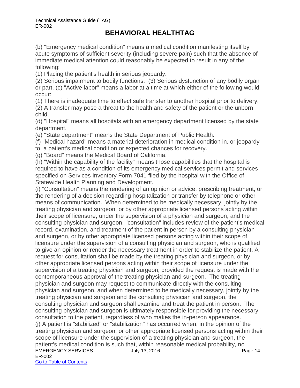(b) "Emergency medical condition" means a medical condition manifesting itself by acute symptoms of sufficient severity (including severe pain) such that the absence of immediate medical attention could reasonably be expected to result in any of the following:

(1) Placing the patient's health in serious jeopardy.

(2) Serious impairment to bodily functions. (3) Serious dysfunction of any bodily organ or part. (c) "Active labor" means a labor at a time at which either of the following would occur:

(1) There is inadequate time to effect safe transfer to another hospital prior to delivery.

(2) A transfer may pose a threat to the health and safety of the patient or the unborn child.

(d) "Hospital" means all hospitals with an emergency department licensed by the state department.

(e) "State department" means the State Department of Public Health.

(f) "Medical hazard" means a material deterioration in medical condition in, or jeopardy

to, a patient's medical condition or expected chances for recovery.

(g) "Board" means the Medical Board of California.

(h) "Within the capability of the facility" means those capabilities that the hospital is required to have as a condition of its emergency medical services permit and services specified on Services Inventory Form 7041 filed by the hospital with the Office of Statewide Health Planning and Development.

EMERGENCY SERVICES July 13, 2016 ER-002 Go to Table of Contents (i) "Consultation" means the rendering of an opinion or advice, prescribing treatment, or the rendering of a decision regarding hospitalization or transfer by telephone or other means of communication. When determined to be medically necessary, jointly by the treating physician and surgeon, or by other appropriate licensed persons acting within their scope of licensure, under the supervision of a physician and surgeon, and the consulting physician and surgeon, "consultation" includes review of the patient's medical record, examination, and treatment of the patient in person by a consulting physician and surgeon, or by other appropriate licensed persons acting within their scope of licensure under the supervision of a consulting physician and surgeon, who is qualified to give an opinion or render the necessary treatment in order to stabilize the patient. A request for consultation shall be made by the treating physician and surgeon, or by other appropriate licensed persons acting within their scope of licensure under the supervision of a treating physician and surgeon, provided the request is made with the contemporaneous approval of the treating physician and surgeon. The treating physician and surgeon may request to communicate directly with the consulting physician and surgeon, and when determined to be medically necessary, jointly by the treating physician and surgeon and the consulting physician and surgeon, the consulting physician and surgeon shall examine and treat the patient in person. The consulting physician and surgeon is ultimately responsible for providing the necessary consultation to the patient, regardless of who makes the in-person appearance. (j) A patient is "stabilized" or "stabilization" has occurred when, in the opinion of the treating physician and surgeon, or other appropriate licensed persons acting within their scope of licensure under the supervision of a treating physician and surgeon, the patient's medical condition is such that, within reasonable medical probability, no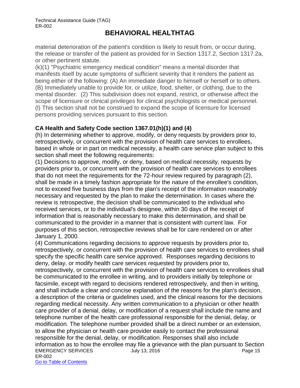material deterioration of the patient's condition is likely to result from, or occur during, the release or transfer of the patient as provided for in Section 1317.2, Section 1317.2a, or other pertinent statute.

(k)(1) "Psychiatric emergency medical condition" means a mental disorder that manifests itself by acute symptoms of sufficient severity that it renders the patient as being either of the following: (A) An immediate danger to himself or herself or to others. (B) Immediately unable to provide for, or utilize, food, shelter, or clothing, due to the mental disorder. (2) This subdivision does not expand, restrict, or otherwise affect the scope of licensure or clinical privileges for clinical psychologists or medical personnel. (l) This section shall not be construed to expand the scope of licensure for licensed persons providing services pursuant to this section.

#### **CA Health and Safety Code section 1367.01(h)(1) and (4)**

(h) In determining whether to approve, modify, or deny requests by providers prior to, retrospectively, or concurrent with the provision of health care services to enrollees, based in whole or in part on medical necessity, a health care service plan subject to this section shall meet the following requirements:

(1) Decisions to approve, modify, or deny, based on medical necessity, requests by providers prior to, or concurrent with the provision of health care services to enrollees that do not meet the requirements for the 72-hour review required by paragraph (2), shall be made in a timely fashion appropriate for the nature of the enrollee's condition, not to exceed five business days from the plan's receipt of the information reasonably necessary and requested by the plan to make the determination. In cases where the review is retrospective, the decision shall be communicated to the individual who received services, or to the individual's designee, within 30 days of the receipt of information that is reasonably necessary to make this determination, and shall be communicated to the provider in a manner that is consistent with current law. For purposes of this section, retrospective reviews shall be for care rendered on or after January 1, 2000.

EMERGENCY SERVICES UUI 13, 2016 ER-002 Go to Table of Contents (4) Communications regarding decisions to approve requests by providers prior to, retrospectively, or concurrent with the provision of health care services to enrollees shall specify the specific health care service approved. Responses regarding decisions to deny, delay, or modify health care services requested by providers prior to, retrospectively, or concurrent with the provision of health care services to enrollees shall be communicated to the enrollee in writing, and to providers initially by telephone or facsimile, except with regard to decisions rendered retrospectively, and then in writing, and shall include a clear and concise explanation of the reasons for the plan's decision, a description of the criteria or guidelines used, and the clinical reasons for the decisions regarding medical necessity. Any written communication to a physician or other health care provider of a denial, delay, or modification of a request shall include the name and telephone number of the health care professional responsible for the denial, delay, or modification. The telephone number provided shall be a direct number or an extension, to allow the physician or health care provider easily to contact the professional responsible for the denial, delay, or modification. Responses shall also include information as to how the enrollee may file a grievance with the plan pursuant to Section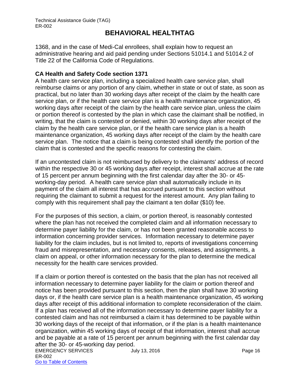1368, and in the case of Medi-Cal enrollees, shall explain how to request an administrative hearing and aid paid pending under Sections 51014.1 and 51014.2 of Title 22 of the California Code of Regulations.

#### **CA Health and Safety Code section 1371**

A health care service plan, including a specialized health care service plan, shall reimburse claims or any portion of any claim, whether in state or out of state, as soon as practical, but no later than 30 working days after receipt of the claim by the health care service plan, or if the health care service plan is a health maintenance organization, 45 working days after receipt of the claim by the health care service plan, unless the claim or portion thereof is contested by the plan in which case the claimant shall be notified, in writing, that the claim is contested or denied, within 30 working days after receipt of the claim by the health care service plan, or if the health care service plan is a health maintenance organization, 45 working days after receipt of the claim by the health care service plan. The notice that a claim is being contested shall identify the portion of the claim that is contested and the specific reasons for contesting the claim.

If an uncontested claim is not reimbursed by delivery to the claimants' address of record within the respective 30 or 45 working days after receipt, interest shall accrue at the rate of 15 percent per annum beginning with the first calendar day after the 30- or 45 working-day period. A health care service plan shall automatically include in its payment of the claim all interest that has accrued pursuant to this section without requiring the claimant to submit a request for the interest amount. Any plan failing to comply with this requirement shall pay the claimant a ten dollar (\$10) fee.

For the purposes of this section, a claim, or portion thereof, is reasonably contested where the plan has not received the completed claim and all information necessary to determine payer liability for the claim, or has not been granted reasonable access to information concerning provider services. Information necessary to determine payer liability for the claim includes, but is not limited to, reports of investigations concerning fraud and misrepresentation, and necessary consents, releases, and assignments, a claim on appeal, or other information necessary for the plan to determine the medical necessity for the health care services provided.

If a claim or portion thereof is contested on the basis that the plan has not received all information necessary to determine payer liability for the claim or portion thereof and notice has been provided pursuant to this section, then the plan shall have 30 working days or, if the health care service plan is a health maintenance organization, 45 working days after receipt of this additional information to complete reconsideration of the claim. If a plan has received all of the information necessary to determine payer liability for a contested claim and has not reimbursed a claim it has determined to be payable within 30 working days of the receipt of that information, or if the plan is a health maintenance organization, within 45 working days of receipt of that information, interest shall accrue and be payable at a rate of 15 percent per annum beginning with the first calendar day after the 30- or 45-working day period.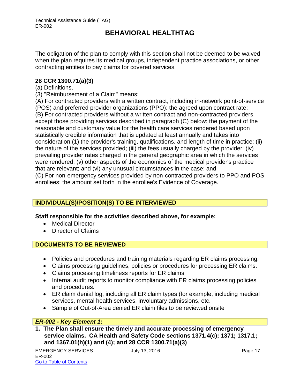The obligation of the plan to comply with this section shall not be deemed to be waived when the plan requires its medical groups, independent practice associations, or other contracting entities to pay claims for covered services.

#### **28 CCR 1300.71(a)(3)**

#### (a) Definitions.

(3) "Reimbursement of a Claim" means:

(A) For contracted providers with a written contract, including in-network point-of-service (POS) and preferred provider organizations (PPO): the agreed upon contract rate; (B) For contracted providers without a written contract and non-contracted providers, except those providing services described in paragraph (C) below: the payment of the reasonable and customary value for the health care services rendered based upon statistically credible information that is updated at least annually and takes into consideration:(1) the provider's training, qualifications, and length of time in practice; (ii) the nature of the services provided; (iii) the fees usually charged by the provider; (iv) prevailing provider rates charged in the general geographic area in which the services were rendered; (v) other aspects of the economics of the medical provider's practice that are relevant; and (vi) any unusual circumstances in the case; and (C) For non-emergency services provided by non-contracted providers to PPO and POS enrollees: the amount set forth in the enrollee's Evidence of Coverage.

#### **INDIVIDUAL(S)/POSITION(S) TO BE INTERVIEWED**

#### **Staff responsible for the activities described above, for example:**

- Medical Director
- Director of Claims

#### **DOCUMENTS TO BE REVIEWED**

- Policies and procedures and training materials regarding ER claims processing.
- Claims processing guidelines, policies or procedures for processing ER claims.
- Claims processing timeliness reports for ER claims
- Internal audit reports to monitor compliance with ER claims processing policies and procedures.
- ER claim denial log, including all ER claim types (for example, including medical services, mental health services, involuntary admissions, etc.
- Sample of Out-of-Area denied ER claim files to be reviewed onsite

#### *ER-002 - Key Element 1:*

**1. The Plan shall ensure the timely and accurate processing of emergency service claims. CA Health and Safety Code sections 1371.4(c); 1371; 1317.1; and 1367.01(h)(1) and (4); and 28 CCR 1300.71(a)(3)**